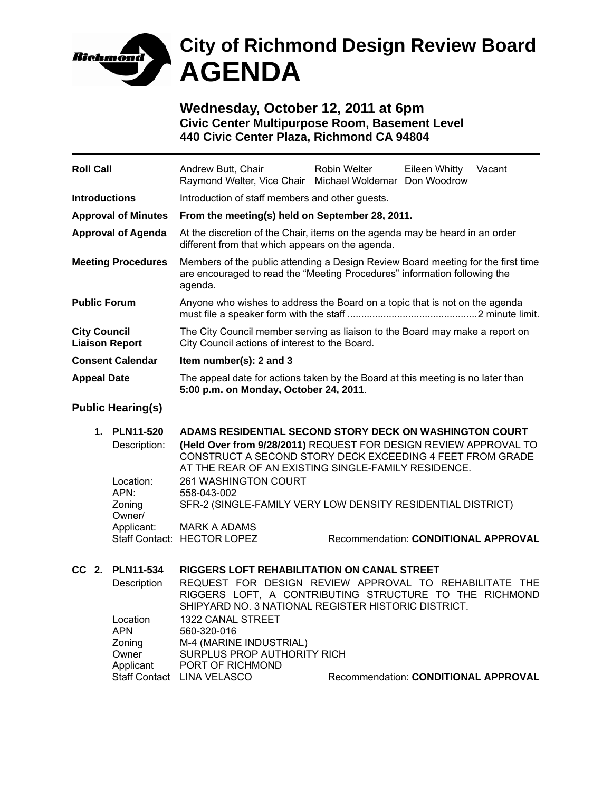

## **City of Richmond Design Review Board AGENDA**

**Wednesday, October 12, 2011 at 6pm Civic Center Multipurpose Room, Basement Level 440 Civic Center Plaza, Richmond CA 94804** 

| <b>Roll Call</b>                             |                                                                                         | Andrew Butt, Chair<br>Raymond Welter, Vice Chair Michael Woldemar Don Woodrow                                                                                                                                                                                                                                                                                                                               | <b>Robin Welter</b>                  | Eileen Whitty | Vacant |  |
|----------------------------------------------|-----------------------------------------------------------------------------------------|-------------------------------------------------------------------------------------------------------------------------------------------------------------------------------------------------------------------------------------------------------------------------------------------------------------------------------------------------------------------------------------------------------------|--------------------------------------|---------------|--------|--|
| <b>Introductions</b>                         |                                                                                         | Introduction of staff members and other guests.                                                                                                                                                                                                                                                                                                                                                             |                                      |               |        |  |
| <b>Approval of Minutes</b>                   |                                                                                         | From the meeting(s) held on September 28, 2011.                                                                                                                                                                                                                                                                                                                                                             |                                      |               |        |  |
| <b>Approval of Agenda</b>                    |                                                                                         | At the discretion of the Chair, items on the agenda may be heard in an order<br>different from that which appears on the agenda.                                                                                                                                                                                                                                                                            |                                      |               |        |  |
| <b>Meeting Procedures</b>                    |                                                                                         | Members of the public attending a Design Review Board meeting for the first time<br>are encouraged to read the "Meeting Procedures" information following the<br>agenda.                                                                                                                                                                                                                                    |                                      |               |        |  |
| <b>Public Forum</b>                          |                                                                                         | Anyone who wishes to address the Board on a topic that is not on the agenda                                                                                                                                                                                                                                                                                                                                 |                                      |               |        |  |
| <b>City Council</b><br><b>Liaison Report</b> |                                                                                         | The City Council member serving as liaison to the Board may make a report on<br>City Council actions of interest to the Board.                                                                                                                                                                                                                                                                              |                                      |               |        |  |
| <b>Consent Calendar</b>                      |                                                                                         | Item number(s): 2 and 3                                                                                                                                                                                                                                                                                                                                                                                     |                                      |               |        |  |
| <b>Appeal Date</b>                           |                                                                                         | The appeal date for actions taken by the Board at this meeting is no later than<br>5:00 p.m. on Monday, October 24, 2011.                                                                                                                                                                                                                                                                                   |                                      |               |        |  |
|                                              | <b>Public Hearing(s)</b>                                                                |                                                                                                                                                                                                                                                                                                                                                                                                             |                                      |               |        |  |
| 1.                                           | <b>PLN11-520</b><br>Description:<br>Location:<br>APN:<br>Zoning<br>Owner/<br>Applicant: | ADAMS RESIDENTIAL SECOND STORY DECK ON WASHINGTON COURT<br>(Held Over from 9/28/2011) REQUEST FOR DESIGN REVIEW APPROVAL TO<br>CONSTRUCT A SECOND STORY DECK EXCEEDING 4 FEET FROM GRADE<br>AT THE REAR OF AN EXISTING SINGLE-FAMILY RESIDENCE.<br>261 WASHINGTON COURT<br>558-043-002<br>SFR-2 (SINGLE-FAMILY VERY LOW DENSITY RESIDENTIAL DISTRICT)<br><b>MARK A ADAMS</b><br>Staff Contact: HECTOR LOPEZ | Recommendation: CONDITIONAL APPROVAL |               |        |  |
| $CC2$ .                                      | <b>PLN11-534</b><br>Description<br>Location                                             | RIGGERS LOFT REHABILITATION ON CANAL STREET<br>REQUEST FOR DESIGN REVIEW APPROVAL TO REHABILITATE THE<br>RIGGERS LOFT, A CONTRIBUTING STRUCTURE TO THE RICHMOND<br>SHIPYARD NO. 3 NATIONAL REGISTER HISTORIC DISTRICT.<br>1322 CANAL STREET                                                                                                                                                                 |                                      |               |        |  |

| LUUUUU    |                             |                                             |
|-----------|-----------------------------|---------------------------------------------|
| APN       | 560-320-016                 |                                             |
| Zoning    | M-4 (MARINE INDUSTRIAL)     |                                             |
| Owner     | SURPLUS PROP AUTHORITY RICH |                                             |
| Applicant | PORT OF RICHMOND            |                                             |
|           | Staff Contact LINA VELASCO  | <b>Recommendation: CONDITIONAL APPROVAL</b> |
|           |                             |                                             |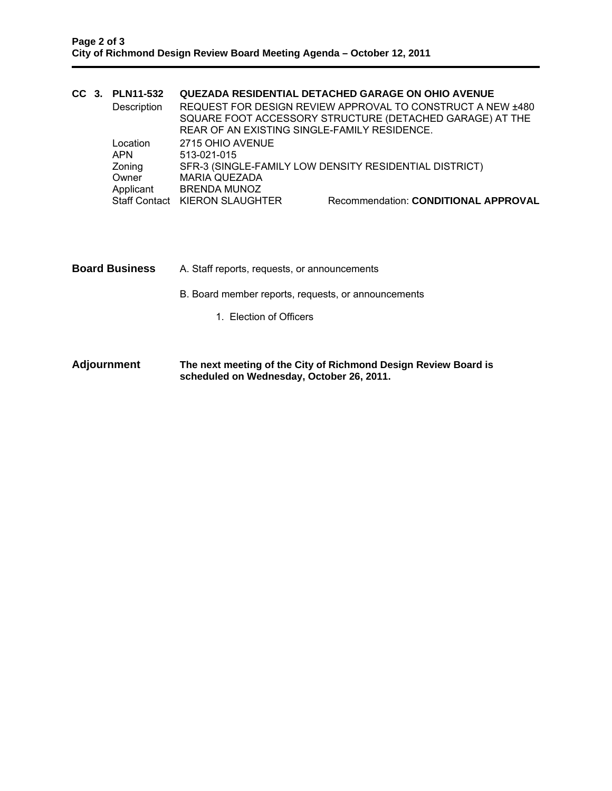|  |  | CC 3. PLN11-532 |                                                        | <b>QUEZADA RESIDENTIAL DETACHED GARAGE ON OHIO AVENUE</b>  |  |
|--|--|-----------------|--------------------------------------------------------|------------------------------------------------------------|--|
|  |  | Description     |                                                        | REQUEST FOR DESIGN REVIEW APPROVAL TO CONSTRUCT A NEW ±480 |  |
|  |  |                 |                                                        | SQUARE FOOT ACCESSORY STRUCTURE (DETACHED GARAGE) AT THE   |  |
|  |  |                 | REAR OF AN EXISTING SINGLE-FAMILY RESIDENCE.           |                                                            |  |
|  |  | Location        | 2715 OHIO AVENUE                                       |                                                            |  |
|  |  | <b>APN</b>      | 513-021-015                                            |                                                            |  |
|  |  | Zoning          | SFR-3 (SINGLE-FAMILY LOW DENSITY RESIDENTIAL DISTRICT) |                                                            |  |
|  |  | Owner           | <b>MARIA QUEZADA</b>                                   |                                                            |  |
|  |  | Applicant       | <b>BRENDA MUNOZ</b>                                    |                                                            |  |
|  |  |                 | Staff Contact KIERON SLAUGHTER                         | Recommendation: CONDITIONAL APPROVAL                       |  |
|  |  |                 |                                                        |                                                            |  |

- **Board Business** A. Staff reports, requests, or announcements
	- B. Board member reports, requests, or announcements
		- 1. Election of Officers
- **Adjournment The next meeting of the City of Richmond Design Review Board is scheduled on Wednesday, October 26, 2011.**